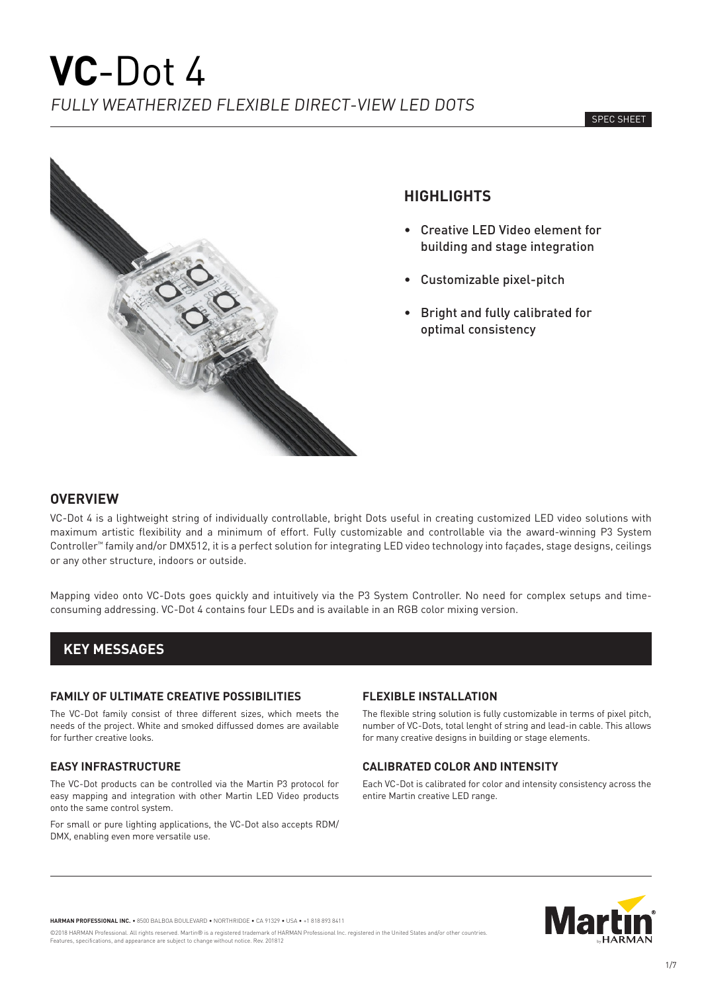

# **HIGHLIGHTS**

- Creative LED Video element for building and stage integration
- Customizable pixel-pitch
- Bright and fully calibrated for optimal consistency

# **OVERVIEW**

VC-Dot 4 is a lightweight string of individually controllable, bright Dots useful in creating customized LED video solutions with maximum artistic flexibility and a minimum of effort. Fully customizable and controllable via the award-winning P3 System Controller™ family and/or DMX512, it is a perfect solution for integrating LED video technology into façades, stage designs, ceilings or any other structure, indoors or outside.

Mapping video onto VC-Dots goes quickly and intuitively via the P3 System Controller. No need for complex setups and timeconsuming addressing. VC-Dot 4 contains four LEDs and is available in an RGB color mixing version.

# **KEY MESSAGES**

#### **FAMILY OF ULTIMATE CREATIVE POSSIBILITIES**

The VC-Dot family consist of three different sizes, which meets the needs of the project. White and smoked diffussed domes are available for further creative looks.

### **EASY INFRASTRUCTURE**

The VC-Dot products can be controlled via the Martin P3 protocol for easy mapping and integration with other Martin LED Video products onto the same control system.

For small or pure lighting applications, the VC-Dot also accepts RDM/ DMX, enabling even more versatile use.

### **FLEXIBLE INSTALLATION**

The flexible string solution is fully customizable in terms of pixel pitch, number of VC-Dots, total lenght of string and lead-in cable. This allows for many creative designs in building or stage elements.

# **CALIBRATED COLOR AND INTENSITY**

Each VC-Dot is calibrated for color and intensity consistency across the entire Martin creative LED range.



**HARMAN PROFESSIONAL INC.** • 8500 BALBOA BOULEVARD • NORTHRIDGE • CA 91329 • USA • +1 818 893 8411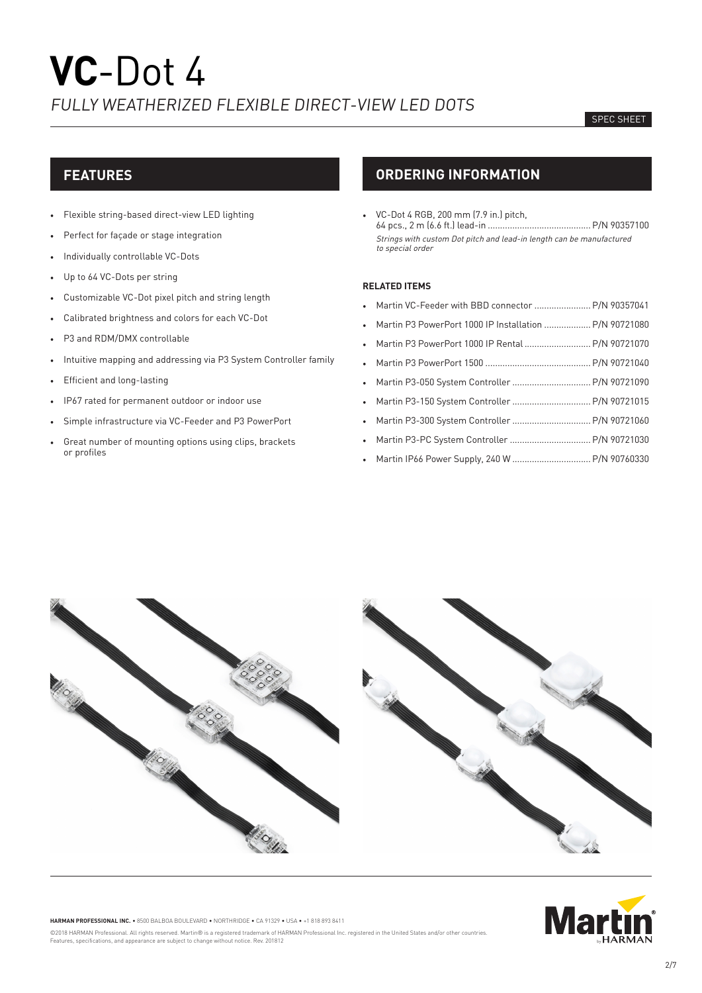#### SPEC SHEET

# **FEATURES**

- Flexible string-based direct-view LED lighting
- Perfect for façade or stage integration
- Individually controllable VC-Dots
- Up to 64 VC-Dots per string
- Customizable VC-Dot pixel pitch and string length
- Calibrated brightness and colors for each VC-Dot
- P3 and RDM/DMX controllable
- Intuitive mapping and addressing via P3 System Controller family
- Efficient and long-lasting
- IP67 rated for permanent outdoor or indoor use
- Simple infrastructure via VC-Feeder and P3 PowerPort
- Great number of mounting options using clips, brackets or profiles

# **ORDERING INFORMATION**

• VC-Dot 4 RGB, 200 mm (7.9 in.) pitch, 64 pcs., 2 m (6.6 ft.) lead-in ..........................................P/N 90357100 Strings with custom Dot pitch and lead-in length can be manufactured to special order

#### **RELATED ITEMS**

- Martin VC-Feeder with BBD connector ........................ P/N 90357041
- Martin P3 PowerPort 1000 IP Installation ...................P/N 90721080 • Martin P3 PowerPort 1000 IP Rental ...........................P/N 90721070
- Martin P3 PowerPort 1500 ...........................................P/N 90721040
- Martin P3-050 System Controller ................................P/N 90721090
- Martin P3-150 System Controller ................................P/N 90721015
- Martin P3-300 System Controller ................................P/N 90721060
- Martin P3-PC System Controller .................................P/N 90721030
- Martin IP66 Power Supply, 240 W ................................P/N 90760330





**HARMAN PROFESSIONAL INC.** • 8500 BALBOA BOULEVARD • NORTHRIDGE • CA 91329 • USA • +1 818 893 8411 ©2018 HARMAN Professional. All rights reserved. Martin® is a registered trademark of HARMAN Professional Inc. registered in the United States and/or other countries. Features, specifications, and appearance are subject to change without notice. Rev. 201812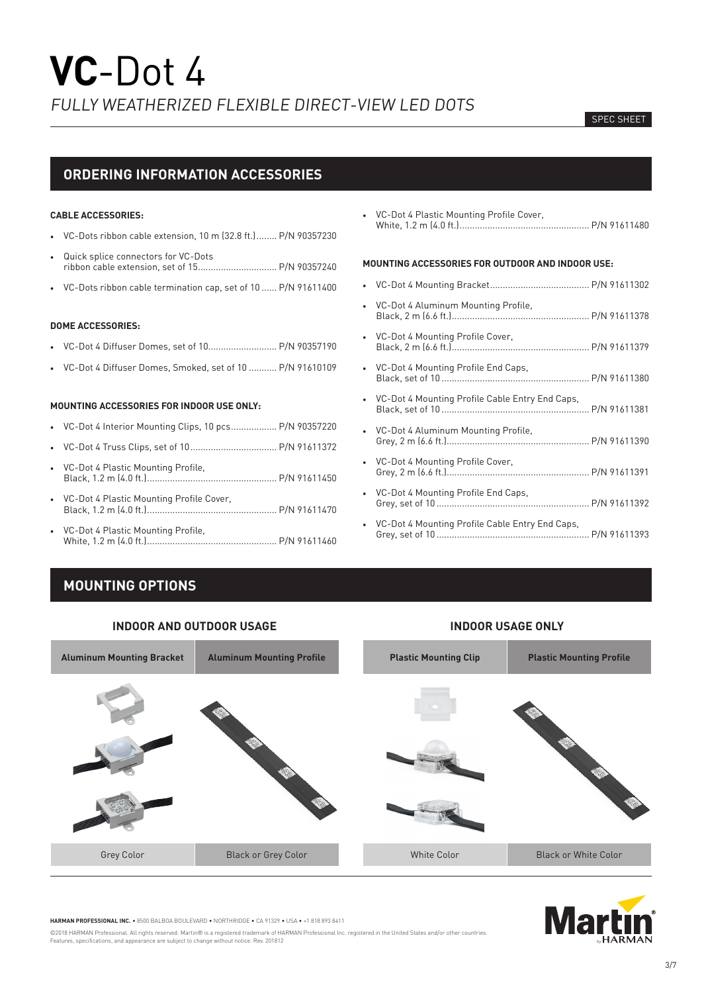#### SPEC SHEET

# **ORDERING INFORMATION ACCESSORIES**

#### **CABLE ACCESSORIES:**

- VC-Dots ribbon cable extension, 10 m (32.8 ft.)........ P/N 90357230
- Quick splice connectors for VC-Dots ribbon cable extension, set of 15............................... P/N 90357240
- VC-Dots ribbon cable termination cap, set of 10 ...... P/N 91611400

#### **DOME ACCESSORIES:**

- VC-Dot 4 Diffuser Domes, set of 10........................... P/N 90357190
- VC-Dot 4 Diffuser Domes, Smoked, set of 10 ........... P/N 91610109

#### **MOUNTING ACCESSORIES FOR INDOOR USE ONLY:**

- VC-Dot 4 Interior Mounting Clips, 10 pcs.................. P/N 90357220
- VC-Dot 4 Truss Clips, set of 10.................................. P/N 91611372
- VC-Dot 4 Plastic Mounting Profile, Black, 1.2 m (4.0 ft.)................................................... P/N 91611450
- VC-Dot 4 Plastic Mounting Profile Cover, Black, 1.2 m (4.0 ft.)................................................... P/N 91611470
- VC-Dot 4 Plastic Mounting Profile, White, 1.2 m (4.0 ft.)................................................... P/N 91611460

• VC-Dot 4 Plastic Mounting Profile Cover, White, 1.2 m (4.0 ft.)................................................... P/N 91611480

### **MOUNTING ACCESSORIES FOR OUTDOOR AND INDOOR USE:**

- VC-Dot 4 Mounting Bracket....................................... P/N 91611302 • VC-Dot 4 Aluminum Mounting Profile, Black, 2 m (6.6 ft.)...................................................... P/N 91611378 • VC-Dot 4 Mounting Profile Cover, Black, 2 m (6.6 ft.)...................................................... P/N 91611379 • VC-Dot 4 Mounting Profile End Caps, Black, set of 10 .......................................................... P/N 91611380 • VC-Dot 4 Mounting Profile Cable Entry End Caps, Black, set of 10 .......................................................... P/N 91611381 • VC-Dot 4 Aluminum Mounting Profile, Grey, 2 m (6.6 ft.)........................................................ P/N 91611390 • VC-Dot 4 Mounting Profile Cover, Grey, 2 m (6.6 ft.)........................................................ P/N 91611391 • VC-Dot 4 Mounting Profile End Caps, Grey, set of 10 ............................................................ P/N 91611392 • VC-Dot 4 Mounting Profile Cable Entry End Caps,
- Grey, set of 10 ............................................................ P/N 91611393

# **MOUNTING OPTIONS**





**HARMAN PROFESSIONAL INC.** • 8500 BALBOA BOULEVARD • NORTHRIDGE • CA 91329 • USA • +1 818 893 8411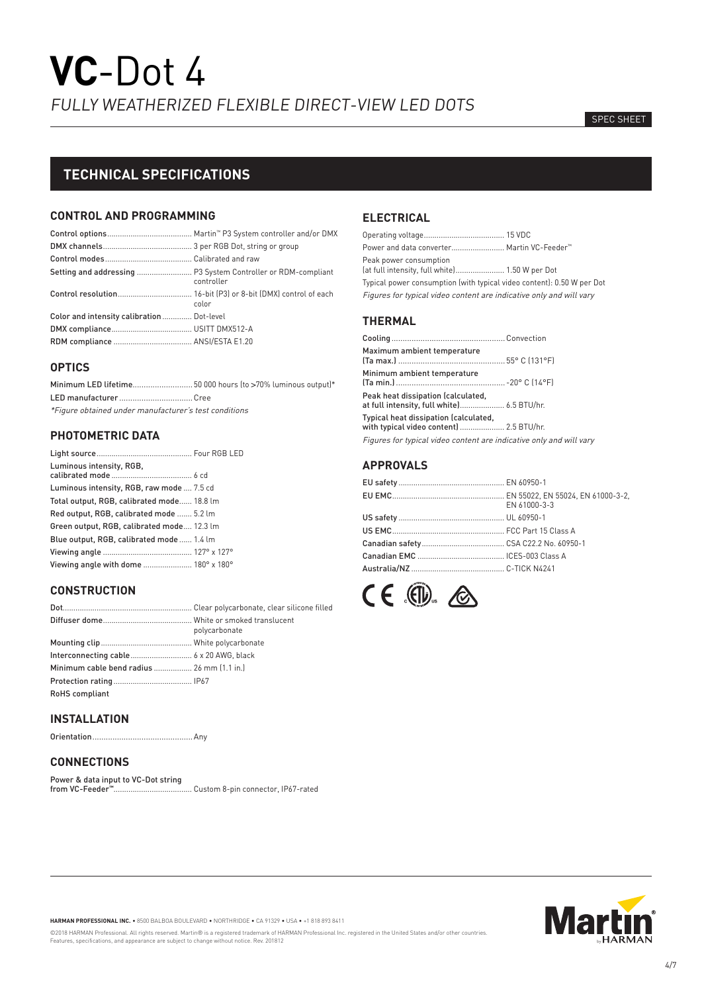#### SPEC SHEET

# **TECHNICAL SPECIFICATIONS**

### **CONTROL AND PROGRAMMING**

|                                           | controller |
|-------------------------------------------|------------|
|                                           | color      |
| Color and intensity calibration Dot-level |            |
|                                           |            |
|                                           |            |

#### **OPTICS**

| Minimum LED lifetime50 000 hours (to >70% luminous output)* |  |
|-------------------------------------------------------------|--|
|                                                             |  |
| *Figure obtained under manufacturer's test conditions       |  |

# **PHOTOMETRIC DATA**

| Luminous intensity, RGB,                   |  |
|--------------------------------------------|--|
| Luminous intensity, RGB, raw mode  7.5 cd  |  |
| Total output, RGB, calibrated mode 18.8 lm |  |
| Red output, RGB, calibrated mode  5.2 lm   |  |
| Green output, RGB, calibrated mode 12.3 lm |  |
| Blue output, RGB, calibrated mode 1.4 lm   |  |
|                                            |  |
| Viewing angle with dome  180° x 180°       |  |

# **CONSTRUCTION**

|                                            | polycarbonate |
|--------------------------------------------|---------------|
|                                            |               |
|                                            |               |
| Minimum cable bend radius  26 mm [1.1 in.] |               |
|                                            |               |
| <b>RoHS</b> compliant                      |               |
|                                            |               |

# **INSTALLATION**

Orientation.............................................Any

# **CONNECTIONS**

Power & data input to VC-Dot string from VC-Feeder**™**..................................... Custom 8-pin connector, IP67-rated

# **ELECTRICAL**

| Power and data converter Martin VC-Feeder™                               |  |
|--------------------------------------------------------------------------|--|
| Peak power consumption<br>(at full intensity, full white) 1.50 W per Dot |  |
| Typical power consumption (with typical video content): 0.50 W per Dot   |  |
| Figures for typical video content are indicative only and will vary      |  |

# **THERMAL**

| Maximum ambient temperature                                                       |  |
|-----------------------------------------------------------------------------------|--|
| Minimum ambient temperature                                                       |  |
| Peak heat dissipation (calculated,                                                |  |
| Typical heat dissipation (calculated,<br>with typical video content]  2.5 BTU/hr. |  |
| Figures for typical video content are indicative only and will vary               |  |

# **APPROVALS**

| EN 61000-3-3 |
|--------------|
|              |
|              |
|              |
|              |
|              |





**HARMAN PROFESSIONAL INC.** • 8500 BALBOA BOULEVARD • NORTHRIDGE • CA 91329 • USA • +1 818 893 8411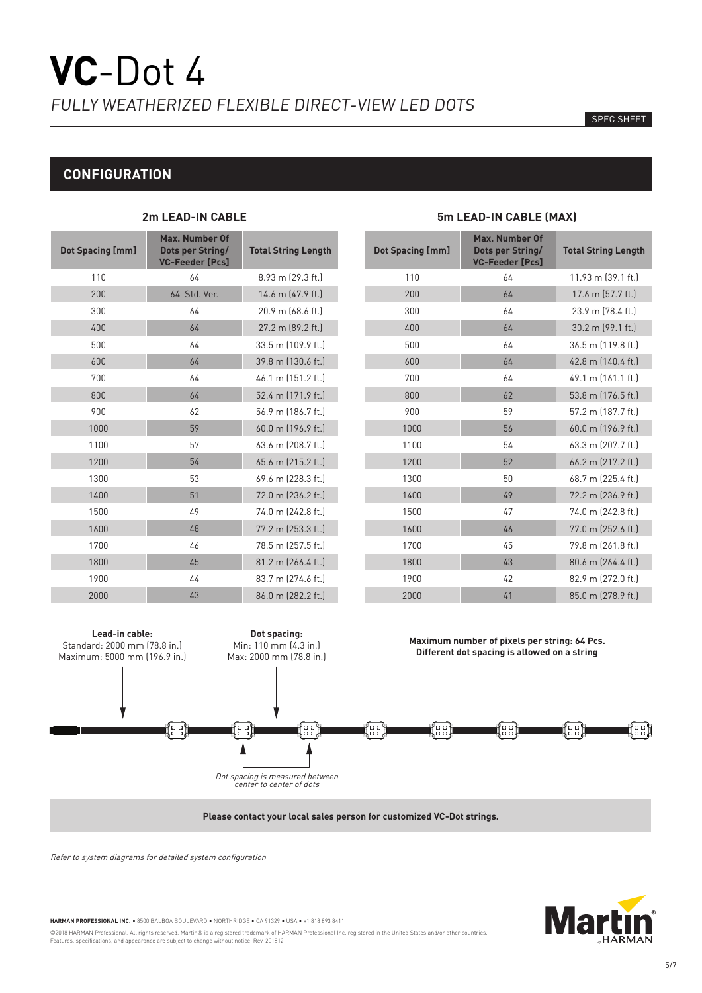#### SPEC SHEET

# **CONFIGURATION**

| Dot Spacing [mm] | <b>Max. Number Of</b><br><b>Dots per String/</b><br><b>VC-Feeder [Pcs]</b> | <b>Total String Length</b> |
|------------------|----------------------------------------------------------------------------|----------------------------|
| 110              | 64                                                                         | 8.93 m (29.3 ft.)          |
| 200              | 64 Std. Ver.                                                               | 14.6 m (47.9 ft.)          |
| 300              | 64                                                                         | 20.9 m (68.6 ft.)          |
| 400              | 64                                                                         | 27.2 m (89.2 ft.)          |
| 500              | 64                                                                         | 33.5 m (109.9 ft.)         |
| 600              | 64                                                                         | 39.8 m (130.6 ft.)         |
| 700              | 64                                                                         | 46.1 m (151.2 ft.)         |
| 800              | 64                                                                         | 52.4 m (171.9 ft.)         |
| 900              | 62                                                                         | 56.9 m (186.7 ft.)         |
| 1000             | 59                                                                         | 60.0 m (196.9 ft.)         |
| 1100             | 57                                                                         | 63.6 m (208.7 ft.)         |
| 1200             | 54                                                                         | 65.6 m (215.2 ft.)         |
| 1300             | 53                                                                         | 69.6 m (228.3 ft.)         |
| 1400             | 51                                                                         | 72.0 m (236.2 ft.)         |
| 1500             | 49                                                                         | 74.0 m (242.8 ft.)         |
| 1600             | 48                                                                         | 77.2 m (253.3 ft.)         |
| 1700             | 46                                                                         | 78.5 m (257.5 ft.)         |
| 1800             | 45                                                                         | 81.2 m (266.4 ft.)         |
| 1900             | 44                                                                         | 83.7 m (274.6 ft.)         |
| 2000             | 43                                                                         | 86.0 m (282.2 ft.)         |

# **2m LEAD-IN CABLE 5m LEAD-IN CABLE (MAX)**

| <b>Max. Number Of</b><br>Dots per String/<br><b>VC-Feeder [Pcs]</b> | <b>Total String Length</b> |
|---------------------------------------------------------------------|----------------------------|
| 64                                                                  | 11.93 m (39.1 ft.)         |
| 64                                                                  | 17.6 m (57.7 ft.)          |
| 64                                                                  | 23.9 m (78.4 ft.)          |
| 64                                                                  | 30.2 m (99.1 ft.)          |
| 64                                                                  | 36.5 m (119.8 ft.)         |
| 64                                                                  | 42.8 m (140.4 ft.)         |
| 64                                                                  | 49.1 m (161.1 ft.)         |
| 62                                                                  | 53.8 m (176.5 ft.)         |
| 59                                                                  | 57.2 m (187.7 ft.)         |
| 56                                                                  | 60.0 m (196.9 ft.)         |
| 54                                                                  | 63.3 m (207.7 ft.)         |
| 52                                                                  | 66.2 m (217.2 ft.)         |
| 50                                                                  | 68.7 m (225.4 ft.)         |
| 49                                                                  | 72.2 m (236.9 ft.)         |
| 47                                                                  | 74.0 m (242.8 ft.)         |
| 46                                                                  | 77.0 m (252.6 ft.)         |
| 45                                                                  | 79.8 m (261.8 ft.)         |
| 43                                                                  | 80.6 m (264.4 ft.)         |
| 42                                                                  | 82.9 m (272.0 ft.)         |
| 41                                                                  | 85.0 m (278.9 ft.)         |
|                                                                     |                            |

**Lead-in cable: Dot spacing: Maximum number of pixels per string: 64 Pcs.** Standard: 2000 mm (78.8 in.) Min: 110 mm (4.3 in.) **Different dot spacing is allowed on a string** Maximum: 5000 mm (196.9 in.) Max: 2000 mm (78.8 in.) eel<br>Ge ख e al 'nn'<br>.nn. ng" 'es' 'ee'<br>aa Dot spacing is measured between center to center of dots

**Please contact your local sales person for customized VC-Dot strings.** 

Refer to system diagrams for detailed system configuration



**HARMAN PROFESSIONAL INC.** • 8500 BALBOA BOULEVARD • NORTHRIDGE • CA 91329 • USA • +1 818 893 8411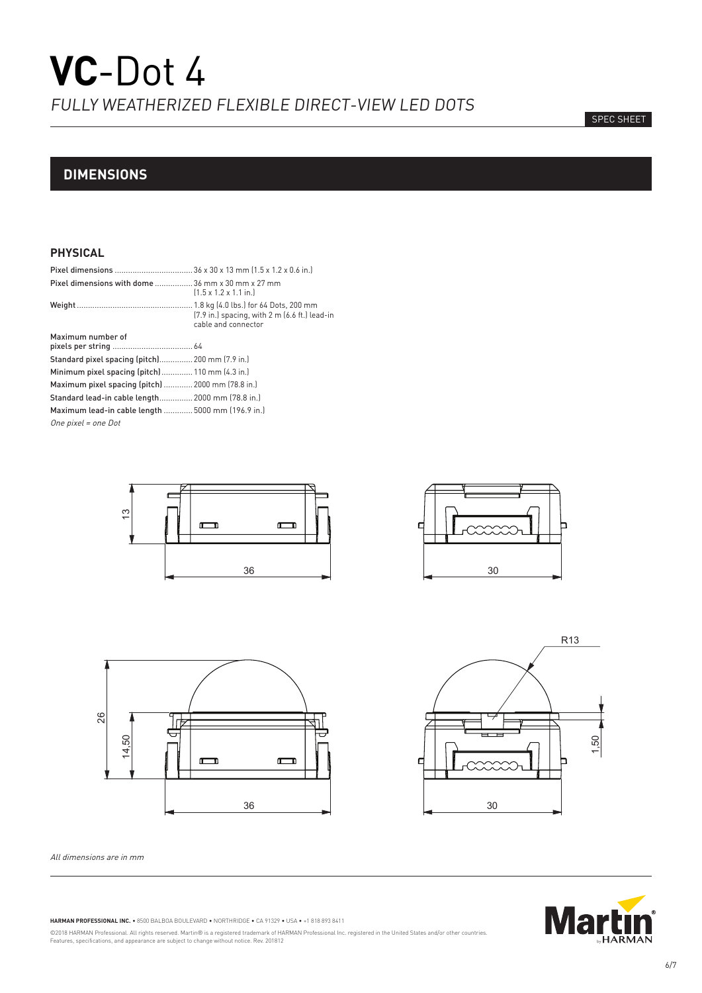# SPEC SHEET

# **DIMENSIONS**

# **PHYSICAL**

| <b>Pixel dimensions with dome</b> 36 mm x 30 mm x 27 mm | $(1.5 \times 1.2 \times 1.1 \text{ in.})$                            |
|---------------------------------------------------------|----------------------------------------------------------------------|
|                                                         | [7.9 in.] spacing, with 2 m (6.6 ft.) lead-in<br>cable and connector |
| Maximum number of                                       |                                                                      |
| Standard pixel spacing (pitch) 200 mm (7.9 in.)         |                                                                      |
| Minimum pixel spacing (pitch) 110 mm (4.3 in.)          |                                                                      |
| Maximum pixel spacing (pitch)  2000 mm (78.8 in.)       |                                                                      |
| Standard lead-in cable length 2000 mm (78.8 in.)        |                                                                      |
| Maximum lead-in cable length  5000 mm (196.9 in.)       |                                                                      |
| One pixel = one Dot                                     |                                                                      |





All dimensions are in mm







**HARMAN PROFESSIONAL INC.** • 8500 BALBOA BOULEVARD • NORTHRIDGE • CA 91329 • USA • +1 818 893 8411